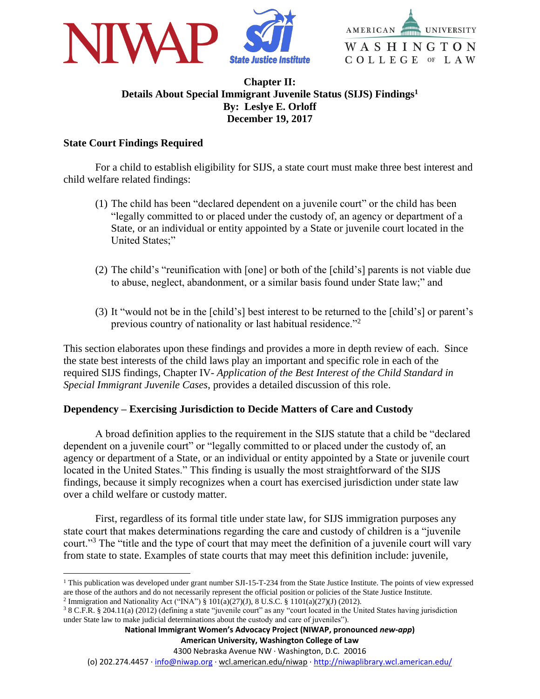



# **Chapter II: Details About Special Immigrant Juvenile Status (SIJS) Findings<sup>1</sup> By: Leslye E. Orloff December 19, 2017**

# **State Court Findings Required**

 $\overline{a}$ 

For a child to establish eligibility for SIJS, a state court must make three best interest and child welfare related findings:

- (1) The child has been "declared dependent on a juvenile court" or the child has been "legally committed to or placed under the custody of, an agency or department of a State, or an individual or entity appointed by a State or juvenile court located in the United States;"
- (2) The child's "reunification with [one] or both of the [child's] parents is not viable due to abuse, neglect, abandonment, or a similar basis found under State law;" and
- (3) It "would not be in the [child's] best interest to be returned to the [child's] or parent's previous country of nationality or last habitual residence."<sup>2</sup>

This section elaborates upon these findings and provides a more in depth review of each. Since the state best interests of the child laws play an important and specific role in each of the required SIJS findings, Chapter IV- *Application of the Best Interest of the Child Standard in Special Immigrant Juvenile Cases*, provides a detailed discussion of this role.

# **Dependency – Exercising Jurisdiction to Decide Matters of Care and Custody**

A broad definition applies to the requirement in the SIJS statute that a child be "declared dependent on a juvenile court" or "legally committed to or placed under the custody of, an agency or department of a State, or an individual or entity appointed by a State or juvenile court located in the United States." This finding is usually the most straightforward of the SIJS findings, because it simply recognizes when a court has exercised jurisdiction under state law over a child welfare or custody matter.

First, regardless of its formal title under state law, for SIJS immigration purposes any state court that makes determinations regarding the care and custody of children is a "juvenile court."<sup>3</sup> The "title and the type of court that may meet the definition of a juvenile court will vary from state to state. Examples of state courts that may meet this definition include: juvenile,

<sup>&</sup>lt;sup>1</sup> This publication was developed under grant number SJI-15-T-234 from the State Justice Institute. The points of view expressed are those of the authors and do not necessarily represent the official position or policies of the State Justice Institute. <sup>2</sup> Immigration and Nationality Act ("INA") § 101(a)(27)(J), 8 U.S.C. § 1101(a)(27)(J) (2012).

<sup>3</sup> 8 C.F.R. § 204.11(a) (2012) (defining a state "juvenile court" as any "court located in the United States having jurisdiction under State law to make judicial determinations about the custody and care of juveniles").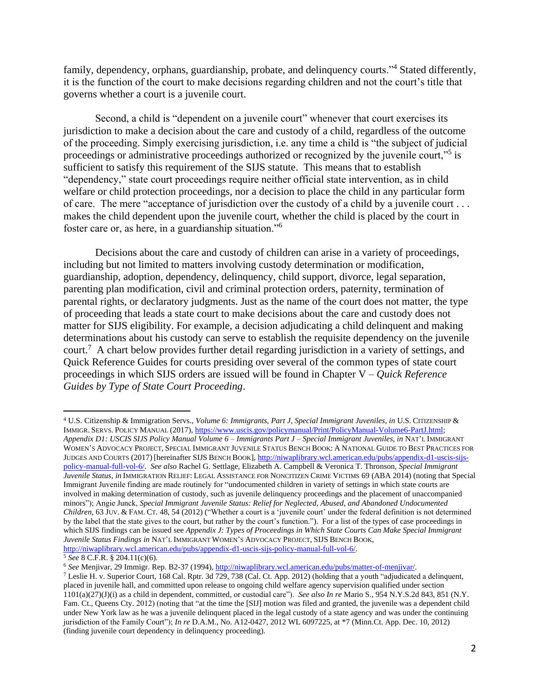family, dependency, orphans, guardianship, probate, and delinquency courts."<sup>4</sup> Stated differently, it is the function of the court to make decisions regarding children and not the court's title that governs whether a court is a juvenile court.

Second, a child is "dependent on a juvenile court" whenever that court exercises its jurisdiction to make a decision about the care and custody of a child, regardless of the outcome of the proceeding. Simply exercising jurisdiction, i.e. any time a child is "the subject of judicial proceedings or administrative proceedings authorized or recognized by the juvenile court,"<sup>5</sup> is sufficient to satisfy this requirement of the SIJS statute. This means that to establish "dependency," state court proceedings require neither official state intervention, as in child welfare or child protection proceedings, nor a decision to place the child in any particular form of care. The mere "acceptance of jurisdiction over the custody of a child by a juvenile court . . . makes the child dependent upon the juvenile court, whether the child is placed by the court in foster care or, as here, in a guardianship situation."<sup>6</sup>

Decisions about the care and custody of children can arise in a variety of proceedings, including but not limited to matters involving custody determination or modification, guardianship, adoption, dependency, delinquency, child support, divorce, legal separation, parenting plan modification, civil and criminal protection orders, paternity, termination of parental rights, or declaratory judgments. Just as the name of the court does not matter, the type of proceeding that leads a state court to make decisions about the care and custody does not matter for SIJS eligibility. For example, a decision adjudicating a child delinquent and making determinations about his custody can serve to establish the requisite dependency on the juvenile court.<sup>7</sup> A chart below provides further detail regarding jurisdiction in a variety of settings, and Quick Reference Guides for courts presiding over several of the common types of state court proceedings in which SIJS orders are issued will be found in Chapter V – *Quick Reference Guides by Type of State Court Proceeding*.

<sup>5</sup> *See* 8 C.F.R. § 204.11(c)(6).

 $\overline{a}$ 

<sup>6</sup> *See* Menjivar, 29 Immigr. Rep. B2-37 (1994)[, http://niwaplibrary.wcl.american.edu/pubs/matter-of-menjivar/.](http://niwaplibrary.wcl.american.edu/pubs/matter-of-menjivar/)

<sup>4</sup> U.S. Citizenship & Immigration Servs., *Volume 6: Immigrants, Part J, Special Immigrant Juveniles, in* U.S. CITIZENSHIP & IMMIGR. SERVS. POLICY MANUAL (2017), [https://www.uscis.gov/policymanual/Print/PolicyManual-Volume6-PartJ.html;](https://www.uscis.gov/policymanual/Print/PolicyManual-Volume6-PartJ.html) *Appendix D1: USCIS SIJS Policy Manual Volume 6 – Immigrants Part J – Special Immigrant Juveniles, in* NAT'L IMMIGRANT WOMEN'S ADVOCACY PROJECT, SPECIAL IMMIGRANT JUVENILE STATUS BENCH BOOK: A NATIONAL GUIDE TO BEST PRACTICES FOR JUDGES AND COURTS (2017) [hereinafter SIJS BENCH BOOK][, http://niwaplibrary.wcl.american.edu/pubs/appendix-d1-uscis-sijs](http://niwaplibrary.wcl.american.edu/pubs/appendix-d1-uscis-sijs-policy-manual-full-vol-6/)[policy-manual-full-vol-6/.](http://niwaplibrary.wcl.american.edu/pubs/appendix-d1-uscis-sijs-policy-manual-full-vol-6/) *See also* Rachel G. Settlage, Elizabeth A. Campbell & Veronica T. Thronson, *Special Immigrant Juvenile Status*, *in* IMMIGRATION RELIEF: LEGAL ASSISTANCE FOR NONCITIZEN CRIME VICTIMS 69 (ABA 2014) (noting that Special Immigrant Juvenile finding are made routinely for "undocumented children in variety of settings in which state courts are involved in making determination of custody, such as juvenile delinquency proceedings and the placement of unaccompanied minors"); Angie Junck, *Special Immigrant Juvenile Status: Relief for Neglected, Abused, and Abandoned Undocumented Children*, 63 JUV. & FAM. CT. 48, 54 (2012) ("Whether a court is a 'juvenile court' under the federal definition is not determined by the label that the state gives to the court, but rather by the court's function."). For a list of the types of case proceedings in which SIJS findings can be issued see *Appendix J: Types of Proceedings in Which State Courts Can Make Special Immigrant Juvenile Status Findings in* NAT'L IMMIGRANT WOMEN'S ADVOCACY PROJECT, SIJS BENCH BOOK, [http://niwaplibrary.wcl.american.edu/pubs/appendix-d1-uscis-sijs-policy-manual-full-vol-6/.](http://niwaplibrary.wcl.american.edu/pubs/appendix-d1-uscis-sijs-policy-manual-full-vol-6/)

<sup>7</sup> Leslie H. v. Superior Court, 168 Cal. Rptr. 3d 729, 738 (Cal. Ct. App. 2012) (holding that a youth "adjudicated a delinquent, placed in juvenile hall, and committed upon release to ongoing child welfare agency supervision qualified under section 1101(a)(27)(J)(i) as a child in dependent, committed, or custodial care"). *See also In re* Mario S., 954 N.Y.S.2d 843, 851 (N.Y. Fam. Ct., Queens Cty. 2012) (noting that "at the time the [SIJ] motion was filed and granted, the juvenile was a dependent child under New York law as he was a juvenile delinquent placed in the legal custody of a state agency and was under the continuing jurisdiction of the Family Court"); *In re* D.A.M., No. A12-0427, 2012 WL 6097225, at \*7 (Minn.Ct. App. Dec. 10, 2012) (finding juvenile court dependency in delinquency proceeding).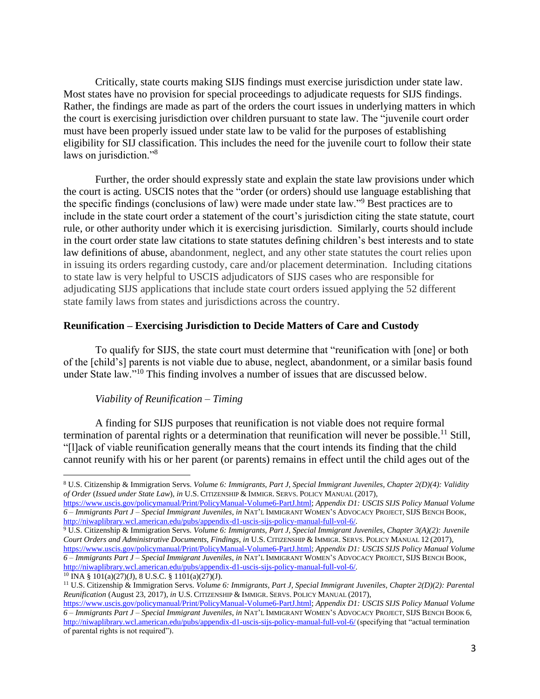Critically, state courts making SIJS findings must exercise jurisdiction under state law. Most states have no provision for special proceedings to adjudicate requests for SIJS findings. Rather, the findings are made as part of the orders the court issues in underlying matters in which the court is exercising jurisdiction over children pursuant to state law. The "juvenile court order must have been properly issued under state law to be valid for the purposes of establishing eligibility for SIJ classification. This includes the need for the juvenile court to follow their state laws on jurisdiction."<sup>8</sup>

Further, the order should expressly state and explain the state law provisions under which the court is acting. USCIS notes that the "order (or orders) should use language establishing that the specific findings (conclusions of law) were made under state law."<sup>9</sup> Best practices are to include in the state court order a statement of the court's jurisdiction citing the state statute, court rule, or other authority under which it is exercising jurisdiction. Similarly, courts should include in the court order state law citations to state statutes defining children's best interests and to state law definitions of abuse, abandonment, neglect, and any other state statutes the court relies upon in issuing its orders regarding custody, care and/or placement determination. Including citations to state law is very helpful to USCIS adjudicators of SIJS cases who are responsible for adjudicating SIJS applications that include state court orders issued applying the 52 different state family laws from states and jurisdictions across the country.

### **Reunification – Exercising Jurisdiction to Decide Matters of Care and Custody**

To qualify for SIJS, the state court must determine that "reunification with [one] or both of the [child's] parents is not viable due to abuse, neglect, abandonment, or a similar basis found under State law."<sup>10</sup> This finding involves a number of issues that are discussed below.

### *Viability of Reunification – Timing*

A finding for SIJS purposes that reunification is not viable does not require formal termination of parental rights or a determination that reunification will never be possible.<sup>11</sup> Still, "[l]ack of viable reunification generally means that the court intends its finding that the child cannot reunify with his or her parent (or parents) remains in effect until the child ages out of the

 $10$  INA §  $101(a)(27)(J)$ , 8 U.S.C. §  $1101(a)(27)(J)$ .

 $\overline{a}$ 

<sup>8</sup> U.S. Citizenship & Immigration Servs. *Volume 6: Immigrants, Part J, Special Immigrant Juveniles, Chapter 2(D)(4): Validity of Order* (*Issued under State Law*), *in* U.S. CITIZENSHIP & IMMIGR. SERVS. POLICY MANUAL (2017),

[https://www.uscis.gov/policymanual/Print/PolicyManual-Volume6-PartJ.html;](https://www.uscis.gov/policymanual/Print/PolicyManual-Volume6-PartJ.html) *Appendix D1: USCIS SIJS Policy Manual Volume 6 – Immigrants Part J – Special Immigrant Juveniles, in* NAT'L IMMIGRANT WOMEN'S ADVOCACY PROJECT, SIJS BENCH BOOK, [http://niwaplibrary.wcl.american.edu/pubs/appendix-d1-uscis-sijs-policy-manual-full-vol-6/.](http://niwaplibrary.wcl.american.edu/pubs/appendix-d1-uscis-sijs-policy-manual-full-vol-6/)

<sup>9</sup> U.S. Citizenship & Immigration Servs. *Volume 6: Immigrants, Part J, Special Immigrant Juveniles, Chapter 3(A)(2): Juvenile Court Orders and Administrative Documents, Findings*, *in* U.S. CITIZENSHIP & IMMIGR. SERVS. POLICY MANUAL 12 (2017), [https://www.uscis.gov/policymanual/Print/PolicyManual-Volume6-PartJ.html;](https://www.uscis.gov/policymanual/Print/PolicyManual-Volume6-PartJ.html) *Appendix D1: USCIS SIJS Policy Manual Volume 6 – Immigrants Part J – Special Immigrant Juveniles, in* NAT'L IMMIGRANT WOMEN'S ADVOCACY PROJECT, SIJS BENCH BOOK, [http://niwaplibrary.wcl.american.edu/pubs/appendix-d1-uscis-sijs-policy-manual-full-vol-6/.](http://niwaplibrary.wcl.american.edu/pubs/appendix-d1-uscis-sijs-policy-manual-full-vol-6/)

<sup>11</sup> U.S. Citizenship & Immigration Servs. *Volume 6: Immigrants, Part J, Special Immigrant Juveniles, Chapter 2(D)(2): Parental Reunification* (August 23, 2017), *in* U.S. CITIZENSHIP & IMMIGR. SERVS. POLICY MANUAL (2017),

[https://www.uscis.gov/policymanual/Print/PolicyManual-Volume6-PartJ.html;](https://www.uscis.gov/policymanual/Print/PolicyManual-Volume6-PartJ.html) *Appendix D1: USCIS SIJS Policy Manual Volume 6 – Immigrants Part J – Special Immigrant Juveniles, in* NAT'L IMMIGRANT WOMEN'S ADVOCACY PROJECT, SIJS BENCH BOOK 6, <http://niwaplibrary.wcl.american.edu/pubs/appendix-d1-uscis-sijs-policy-manual-full-vol-6/> (specifying that "actual termination of parental rights is not required").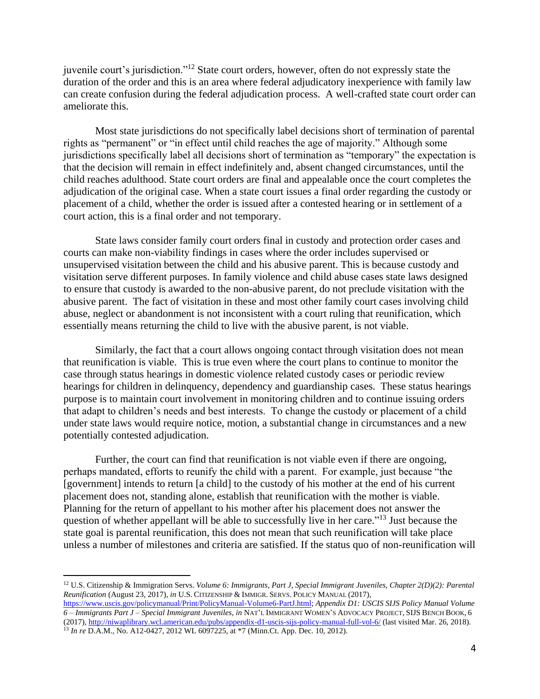juvenile court's jurisdiction."<sup>12</sup> State court orders, however, often do not expressly state the duration of the order and this is an area where federal adjudicatory inexperience with family law can create confusion during the federal adjudication process. A well-crafted state court order can ameliorate this.

Most state jurisdictions do not specifically label decisions short of termination of parental rights as "permanent" or "in effect until child reaches the age of majority." Although some jurisdictions specifically label all decisions short of termination as "temporary" the expectation is that the decision will remain in effect indefinitely and, absent changed circumstances, until the child reaches adulthood. State court orders are final and appealable once the court completes the adjudication of the original case. When a state court issues a final order regarding the custody or placement of a child, whether the order is issued after a contested hearing or in settlement of a court action, this is a final order and not temporary.

State laws consider family court orders final in custody and protection order cases and courts can make non-viability findings in cases where the order includes supervised or unsupervised visitation between the child and his abusive parent. This is because custody and visitation serve different purposes. In family violence and child abuse cases state laws designed to ensure that custody is awarded to the non-abusive parent, do not preclude visitation with the abusive parent. The fact of visitation in these and most other family court cases involving child abuse, neglect or abandonment is not inconsistent with a court ruling that reunification, which essentially means returning the child to live with the abusive parent, is not viable.

Similarly, the fact that a court allows ongoing contact through visitation does not mean that reunification is viable. This is true even where the court plans to continue to monitor the case through status hearings in domestic violence related custody cases or periodic review hearings for children in delinquency, dependency and guardianship cases. These status hearings purpose is to maintain court involvement in monitoring children and to continue issuing orders that adapt to children's needs and best interests. To change the custody or placement of a child under state laws would require notice, motion, a substantial change in circumstances and a new potentially contested adjudication.

Further, the court can find that reunification is not viable even if there are ongoing, perhaps mandated, efforts to reunify the child with a parent. For example, just because "the [government] intends to return [a child] to the custody of his mother at the end of his current placement does not, standing alone, establish that reunification with the mother is viable. Planning for the return of appellant to his mother after his placement does not answer the question of whether appellant will be able to successfully live in her care."<sup>13</sup> Just because the state goal is parental reunification, this does not mean that such reunification will take place unless a number of milestones and criteria are satisfied. If the status quo of non-reunification will

 $\overline{a}$ 

<sup>12</sup> U.S. Citizenship & Immigration Servs. *Volume 6: Immigrants, Part J, Special Immigrant Juveniles, Chapter 2(D)(2): Parental Reunification* (August 23, 2017), *in* U.S. CITIZENSHIP & IMMIGR. SERVS. POLICY MANUAL (2017),

[https://www.uscis.gov/policymanual/Print/PolicyManual-Volume6-PartJ.html;](https://www.uscis.gov/policymanual/Print/PolicyManual-Volume6-PartJ.html) *Appendix D1: USCIS SIJS Policy Manual Volume 6 – Immigrants Part J – Special Immigrant Juveniles, in* NAT'L IMMIGRANT WOMEN'S ADVOCACY PROJECT, SIJS BENCH BOOK, 6 (2017)[, http://niwaplibrary.wcl.american.edu/pubs/appendix-d1-uscis-sijs-policy-manual-full-vol-6/](http://niwaplibrary.wcl.american.edu/pubs/appendix-d1-uscis-sijs-policy-manual-full-vol-6/) (last visited Mar. 26, 2018). <sup>13</sup> *In re* D.A.M., No. A12-0427, 2012 WL 6097225, at \*7 (Minn.Ct. App. Dec. 10, 2012).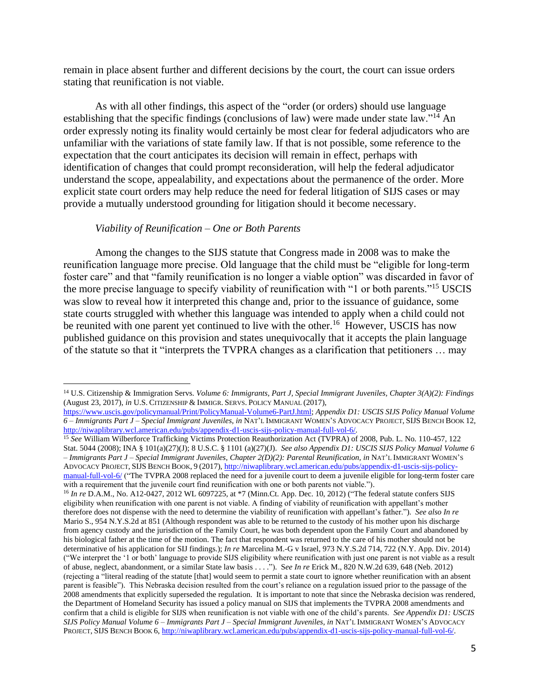remain in place absent further and different decisions by the court, the court can issue orders stating that reunification is not viable.

As with all other findings, this aspect of the "order (or orders) should use language establishing that the specific findings (conclusions of law) were made under state law."<sup>14</sup> An order expressly noting its finality would certainly be most clear for federal adjudicators who are unfamiliar with the variations of state family law. If that is not possible, some reference to the expectation that the court anticipates its decision will remain in effect, perhaps with identification of changes that could prompt reconsideration, will help the federal adjudicator understand the scope, appealability, and expectations about the permanence of the order. More explicit state court orders may help reduce the need for federal litigation of SIJS cases or may provide a mutually understood grounding for litigation should it become necessary.

#### *Viability of Reunification – One or Both Parents*

 $\overline{a}$ 

Among the changes to the SIJS statute that Congress made in 2008 was to make the reunification language more precise. Old language that the child must be "eligible for long-term foster care" and that "family reunification is no longer a viable option" was discarded in favor of the more precise language to specify viability of reunification with "1 or both parents."<sup>15</sup> USCIS was slow to reveal how it interpreted this change and, prior to the issuance of guidance, some state courts struggled with whether this language was intended to apply when a child could not be reunited with one parent yet continued to live with the other.<sup>16</sup> However, USCIS has now published guidance on this provision and states unequivocally that it accepts the plain language of the statute so that it "interprets the TVPRA changes as a clarification that petitioners … may

<sup>14</sup> U.S. Citizenship & Immigration Servs. *Volume 6: Immigrants, Part J, Special Immigrant Juveniles, Chapter 3(A)(2): Findings* (August 23, 2017), *in* U.S. CITIZENSHIP & IMMIGR. SERVS. POLICY MANUAL (2017),

[https://www.uscis.gov/policymanual/Print/PolicyManual-Volume6-PartJ.html;](https://www.uscis.gov/policymanual/Print/PolicyManual-Volume6-PartJ.html) *Appendix D1: USCIS SIJS Policy Manual Volume 6 – Immigrants Part J – Special Immigrant Juveniles, in* NAT'L IMMIGRANT WOMEN'S ADVOCACY PROJECT, SIJS BENCH BOOK 12, [http://niwaplibrary.wcl.american.edu/pubs/appendix-d1-uscis-sijs-policy-manual-full-vol-6/.](http://niwaplibrary.wcl.american.edu/pubs/appendix-d1-uscis-sijs-policy-manual-full-vol-6/)

<sup>15</sup> *See* William Wilberforce Trafficking Victims Protection Reauthorization Act (TVPRA) of 2008, Pub. L. No. 110-457, 122 Stat. 5044 (2008); INA § 101(a)(27)(J); 8 U.S.C. § 1101 (a)(27)(J). *See also Appendix D1: USCIS SIJS Policy Manual Volume 6 – Immigrants Part J – Special Immigrant Juveniles, Chapter 2(D)(2): Parental Reunification, in* NAT'L IMMIGRANT WOMEN'S ADVOCACY PROJECT, SIJS BENCH BOOK, 9 (2017)[, http://niwaplibrary.wcl.american.edu/pubs/appendix-d1-uscis-sijs-policy](http://niwaplibrary.wcl.american.edu/pubs/appendix-d1-uscis-sijs-policy-manual-full-vol-6/)[manual-full-vol-6/](http://niwaplibrary.wcl.american.edu/pubs/appendix-d1-uscis-sijs-policy-manual-full-vol-6/) ("The TVPRA 2008 replaced the need for a juvenile court to deem a juvenile eligible for long-term foster care with a requirement that the juvenile court find reunification with one or both parents not viable.").

<sup>16</sup> *In re* D.A.M., No. A12-0427, 2012 WL 6097225, at \*7 (Minn.Ct. App. Dec. 10, 2012) ("The federal statute confers SIJS eligibility when reunification with one parent is not viable. A finding of viability of reunification with appellant's mother therefore does not dispense with the need to determine the viability of reunification with appellant's father."). *See also In re* Mario S., 954 N.Y.S.2d at 851 (Although respondent was able to be returned to the custody of his mother upon his discharge from agency custody and the jurisdiction of the Family Court, he was both dependent upon the Family Court and abandoned by his biological father at the time of the motion. The fact that respondent was returned to the care of his mother should not be determinative of his application for SIJ findings.); *In re* Marcelina M.-G v Israel, 973 N.Y.S.2d 714, 722 (N.Y. App. Div. 2014) ("We interpret the '1 or both' language to provide SIJS eligibility where reunification with just one parent is not viable as a result of abuse, neglect, abandonment, or a similar State law basis . . . ."). S*ee In re* Erick M., 820 N.W.2d 639, 648 (Neb. 2012) (rejecting a "literal reading of the statute [that] would seem to permit a state court to ignore whether reunification with an absent parent is feasible"). This Nebraska decision resulted from the court's reliance on a regulation issued prior to the passage of the 2008 amendments that explicitly superseded the regulation. It is important to note that since the Nebraska decision was rendered, the Department of Homeland Security has issued a policy manual on SIJS that implements the TVPRA 2008 amendments and confirm that a child is eligible for SIJS when reunification is not viable with one of the child's parents. *See Appendix D1: USCIS SIJS Policy Manual Volume 6 – Immigrants Part J – Special Immigrant Juveniles, in* NAT'L IMMIGRANT WOMEN'S ADVOCACY PROJECT, SIJS BENCH BOOK 6[, http://niwaplibrary.wcl.american.edu/pubs/appendix-d1-uscis-sijs-policy-manual-full-vol-6/.](http://niwaplibrary.wcl.american.edu/pubs/appendix-d1-uscis-sijs-policy-manual-full-vol-6/)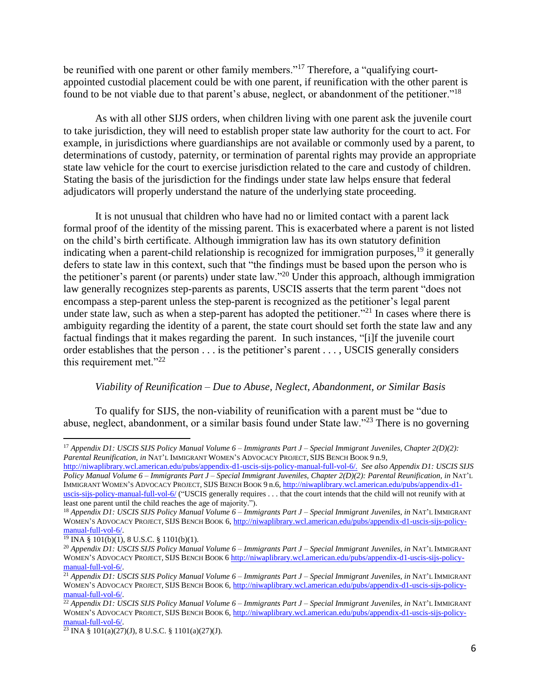be reunified with one parent or other family members."<sup>17</sup> Therefore, a "qualifying courtappointed custodial placement could be with one parent, if reunification with the other parent is found to be not viable due to that parent's abuse, neglect, or abandonment of the petitioner."<sup>18</sup>

As with all other SIJS orders, when children living with one parent ask the juvenile court to take jurisdiction, they will need to establish proper state law authority for the court to act. For example, in jurisdictions where guardianships are not available or commonly used by a parent, to determinations of custody, paternity, or termination of parental rights may provide an appropriate state law vehicle for the court to exercise jurisdiction related to the care and custody of children. Stating the basis of the jurisdiction for the findings under state law helps ensure that federal adjudicators will properly understand the nature of the underlying state proceeding.

It is not unusual that children who have had no or limited contact with a parent lack formal proof of the identity of the missing parent. This is exacerbated where a parent is not listed on the child's birth certificate. Although immigration law has its own statutory definition indicating when a parent-child relationship is recognized for immigration purposes,<sup>19</sup> it generally defers to state law in this context, such that "the findings must be based upon the person who is the petitioner's parent (or parents) under state law."<sup>20</sup> Under this approach, although immigration law generally recognizes step-parents as parents, USCIS asserts that the term parent "does not encompass a step-parent unless the step-parent is recognized as the petitioner's legal parent under state law, such as when a step-parent has adopted the petitioner.<sup>"21</sup> In cases where there is ambiguity regarding the identity of a parent, the state court should set forth the state law and any factual findings that it makes regarding the parent. In such instances, "[i]f the juvenile court order establishes that the person . . . is the petitioner's parent . . . , USCIS generally considers this requirement met."<sup>22</sup>

## *Viability of Reunification – Due to Abuse, Neglect, Abandonment, or Similar Basis*

To qualify for SIJS, the non-viability of reunification with a parent must be "due to abuse, neglect, abandonment, or a similar basis found under State law."<sup>23</sup> There is no governing

[http://niwaplibrary.wcl.american.edu/pubs/appendix-d1-uscis-sijs-policy-manual-full-vol-6/.](http://niwaplibrary.wcl.american.edu/pubs/appendix-d1-uscis-sijs-policy-manual-full-vol-6/) *See also Appendix D1: USCIS SIJS Policy Manual Volume 6 – Immigrants Part J – Special Immigrant Juveniles, Chapter 2(D)(2): Parental Reunification, in* NAT'L IMMIGRANT WOMEN'S ADVOCACY PROJECT, SIJS BENCH BOOK 9 n.6, [http://niwaplibrary.wcl.american.edu/pubs/appendix-d1](http://niwaplibrary.wcl.american.edu/pubs/appendix-d1-uscis-sijs-policy-manual-full-vol-6/) [uscis-sijs-policy-manual-full-vol-6/](http://niwaplibrary.wcl.american.edu/pubs/appendix-d1-uscis-sijs-policy-manual-full-vol-6/) ("USCIS generally requires . . . that the court intends that the child will not reunify with at least one parent until the child reaches the age of majority.").

 $\overline{a}$ <sup>17</sup> *Appendix D1: USCIS SIJS Policy Manual Volume 6 – Immigrants Part J – Special Immigrant Juveniles, Chapter 2(D)(2): Parental Reunification, in* NAT'L IMMIGRANT WOMEN'S ADVOCACY PROJECT, SIJS BENCH BOOK 9 n.9,

<sup>18</sup> *Appendix D1: USCIS SIJS Policy Manual Volume 6 – Immigrants Part J – Special Immigrant Juveniles, in* NAT'L IMMIGRANT WOMEN'S ADVOCACY PROJECT, SIJS BENCH BOOK 6, [http://niwaplibrary.wcl.american.edu/pubs/appendix-d1-uscis-sijs-policy](http://niwaplibrary.wcl.american.edu/pubs/appendix-d1-uscis-sijs-policy-manual-full-vol-6/)[manual-full-vol-6/.](http://niwaplibrary.wcl.american.edu/pubs/appendix-d1-uscis-sijs-policy-manual-full-vol-6/)

 $\frac{19 \text{INA } 8 \cdot 101(b)(1)}{19 \text{ NA } 8 \cdot 101(b)(1)}$ , 8 U.S.C. § 1101(b)(1).

<sup>20</sup> *Appendix D1: USCIS SIJS Policy Manual Volume 6 – Immigrants Part J – Special Immigrant Juveniles, in* NAT'L IMMIGRANT WOMEN'S ADVOCACY PROJECT, SIJS BENCH BOOK 6 [http://niwaplibrary.wcl.american.edu/pubs/appendix-d1-uscis-sijs-policy](http://niwaplibrary.wcl.american.edu/pubs/appendix-d1-uscis-sijs-policy-manual-full-vol-6/)[manual-full-vol-6/.](http://niwaplibrary.wcl.american.edu/pubs/appendix-d1-uscis-sijs-policy-manual-full-vol-6/)

<sup>21</sup> *Appendix D1: USCIS SIJS Policy Manual Volume 6 – Immigrants Part J – Special Immigrant Juveniles, in* NAT'L IMMIGRANT WOMEN'S ADVOCACY PROJECT, SIJS BENCH BOOK 6[, http://niwaplibrary.wcl.american.edu/pubs/appendix-d1-uscis-sijs-policy](http://niwaplibrary.wcl.american.edu/pubs/appendix-d1-uscis-sijs-policy-manual-full-vol-6/)[manual-full-vol-6/.](http://niwaplibrary.wcl.american.edu/pubs/appendix-d1-uscis-sijs-policy-manual-full-vol-6/)

<sup>22</sup> *Appendix D1: USCIS SIJS Policy Manual Volume 6 – Immigrants Part J – Special Immigrant Juveniles, in* NAT'L IMMIGRANT WOMEN'S ADVOCACY PROJECT, SIJS BENCH BOOK 6[, http://niwaplibrary.wcl.american.edu/pubs/appendix-d1-uscis-sijs-policy](http://niwaplibrary.wcl.american.edu/pubs/appendix-d1-uscis-sijs-policy-manual-full-vol-6/)[manual-full-vol-6/.](http://niwaplibrary.wcl.american.edu/pubs/appendix-d1-uscis-sijs-policy-manual-full-vol-6/)

 $\frac{23 \text{INA } 8 \cdot 101(a)(27)(\text{J})}{(27)(\text{J}) \cdot 8 \text{ U.S.C. } 8 \cdot 1101(a)(27)(\text{J})}.$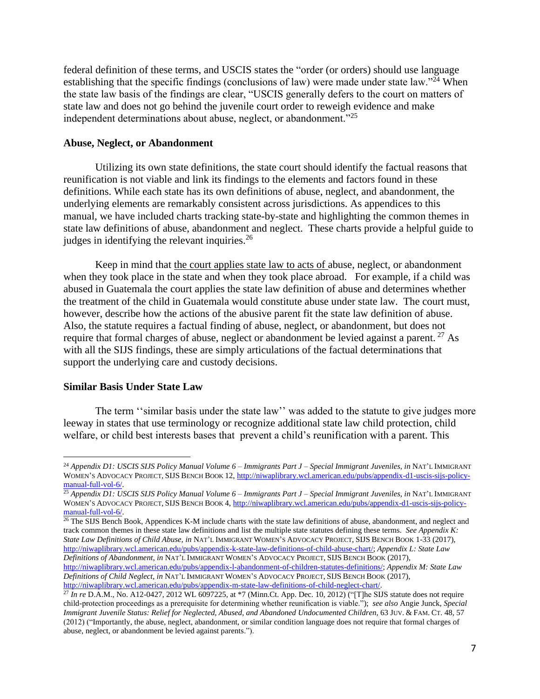federal definition of these terms, and USCIS states the "order (or orders) should use language establishing that the specific findings (conclusions of law) were made under state law."<sup>24</sup> When the state law basis of the findings are clear, "USCIS generally defers to the court on matters of state law and does not go behind the juvenile court order to reweigh evidence and make independent determinations about abuse, neglect, or abandonment."<sup>25</sup>

### **Abuse, Neglect, or Abandonment**

Utilizing its own state definitions, the state court should identify the factual reasons that reunification is not viable and link its findings to the elements and factors found in these definitions. While each state has its own definitions of abuse, neglect, and abandonment, the underlying elements are remarkably consistent across jurisdictions. As appendices to this manual, we have included charts tracking state-by-state and highlighting the common themes in state law definitions of abuse, abandonment and neglect. These charts provide a helpful guide to judges in identifying the relevant inquiries.<sup>26</sup>

Keep in mind that the court applies state law to acts of abuse, neglect, or abandonment when they took place in the state and when they took place abroad. For example, if a child was abused in Guatemala the court applies the state law definition of abuse and determines whether the treatment of the child in Guatemala would constitute abuse under state law. The court must, however, describe how the actions of the abusive parent fit the state law definition of abuse. Also, the statute requires a factual finding of abuse, neglect, or abandonment, but does not require that formal charges of abuse, neglect or abandonment be levied against a parent.<sup>27</sup> As with all the SIJS findings, these are simply articulations of the factual determinations that support the underlying care and custody decisions.

#### **Similar Basis Under State Law**

 $\overline{a}$ 

The term ''similar basis under the state law'' was added to the statute to give judges more leeway in states that use terminology or recognize additional state law child protection, child welfare, or child best interests bases that prevent a child's reunification with a parent. This

<sup>24</sup> *Appendix D1: USCIS SIJS Policy Manual Volume 6 – Immigrants Part J – Special Immigrant Juveniles, in* NAT'L IMMIGRANT WOMEN'S ADVOCACY PROJECT, SIJS BENCH BOOK 12, [http://niwaplibrary.wcl.american.edu/pubs/appendix-d1-uscis-sijs-policy](http://niwaplibrary.wcl.american.edu/pubs/appendix-d1-uscis-sijs-policy-manual-full-vol-6/)[manual-full-vol-6/.](http://niwaplibrary.wcl.american.edu/pubs/appendix-d1-uscis-sijs-policy-manual-full-vol-6/)

<sup>25</sup> *Appendix D1: USCIS SIJS Policy Manual Volume 6 – Immigrants Part J – Special Immigrant Juveniles, in* NAT'L IMMIGRANT WOMEN'S ADVOCACY PROJECT, SIJS BENCH BOOK 4[, http://niwaplibrary.wcl.american.edu/pubs/appendix-d1-uscis-sijs-policy](http://niwaplibrary.wcl.american.edu/pubs/appendix-d1-uscis-sijs-policy-manual-full-vol-6/)[manual-full-vol-6/.](http://niwaplibrary.wcl.american.edu/pubs/appendix-d1-uscis-sijs-policy-manual-full-vol-6/)

<sup>&</sup>lt;sup>26</sup> The SIJS Bench Book, Appendices K-M include charts with the state law definitions of abuse, abandonment, and neglect and track common themes in these state law definitions and list the multiple state statutes defining these terms. *See Appendix K: State Law Definitions of Child Abuse*, *in* NAT'L IMMIGRANT WOMEN'S ADVOCACY PROJECT, SIJS BENCH BOOK 1-33 (2017), [http://niwaplibrary.wcl.american.edu/pubs/appendix-k-state-law-definitions-of-child-abuse-chart/;](http://niwaplibrary.wcl.american.edu/pubs/appendix-k-state-law-definitions-of-child-abuse-chart/) *Appendix L: State Law Definitions of Abandonment*, *in* NAT'L IMMIGRANT WOMEN'S ADVOCACY PROJECT, SIJS BENCH BOOK (2017),

[http://niwaplibrary.wcl.american.edu/pubs/appendix-l-abandonment-of-children-statutes-definitions/;](http://niwaplibrary.wcl.american.edu/pubs/appendix-l-abandonment-of-children-statutes-definitions/) *Appendix M: State Law Definitions of Child Neglect*, *in* NAT'L IMMIGRANT WOMEN'S ADVOCACY PROJECT, SIJS BENCH BOOK (2017), [http://niwaplibrary.wcl.american.edu/pubs/appendix-m-state-law-definitions-of-child-neglect-chart/.](http://niwaplibrary.wcl.american.edu/pubs/appendix-m-state-law-definitions-of-child-neglect-chart/)

 $^{27}$  *In re* D.A.M., No. A12-0427, 2012 WL 6097225, at  $*7$  (Minn.Ct. App. Dec. 10, 2012) ("[T]he SIJS statute does not require child-protection proceedings as a prerequisite for determining whether reunification is viable."); *see also* Angie Junck, *Special Immigrant Juvenile Status: Relief for Neglected, Abused, and Abandoned Undocumented Children*, 63 JUV. & FAM. CT. 48, 57 (2012) ("Importantly, the abuse, neglect, abandonment, or similar condition language does not require that formal charges of abuse, neglect, or abandonment be levied against parents.").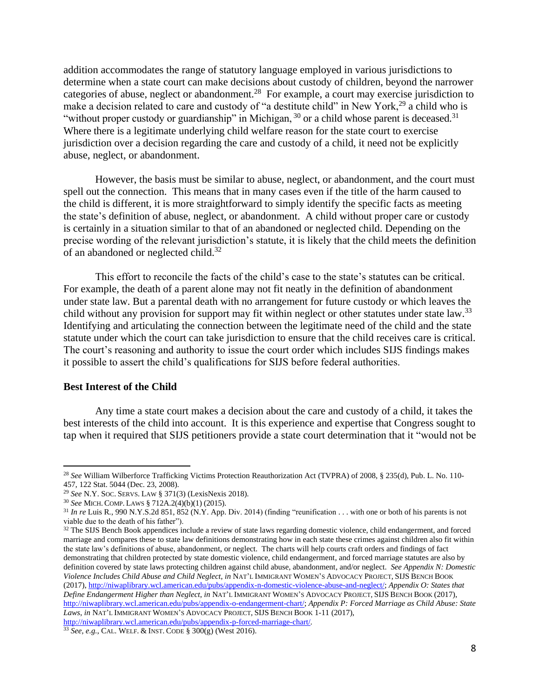addition accommodates the range of statutory language employed in various jurisdictions to determine when a state court can make decisions about custody of children, beyond the narrower categories of abuse, neglect or abandonment.<sup>28</sup> For example, a court may exercise jurisdiction to make a decision related to care and custody of "a destitute child" in New York,<sup>29</sup> a child who is "without proper custody or guardianship" in Michigan,  $30$  or a child whose parent is deceased.<sup>31</sup> Where there is a legitimate underlying child welfare reason for the state court to exercise jurisdiction over a decision regarding the care and custody of a child, it need not be explicitly abuse, neglect, or abandonment.

However, the basis must be similar to abuse, neglect, or abandonment, and the court must spell out the connection. This means that in many cases even if the title of the harm caused to the child is different, it is more straightforward to simply identify the specific facts as meeting the state's definition of abuse, neglect, or abandonment. A child without proper care or custody is certainly in a situation similar to that of an abandoned or neglected child. Depending on the precise wording of the relevant jurisdiction's statute, it is likely that the child meets the definition of an abandoned or neglected child.<sup>32</sup>

This effort to reconcile the facts of the child's case to the state's statutes can be critical. For example, the death of a parent alone may not fit neatly in the definition of abandonment under state law. But a parental death with no arrangement for future custody or which leaves the child without any provision for support may fit within neglect or other statutes under state law.<sup>33</sup> Identifying and articulating the connection between the legitimate need of the child and the state statute under which the court can take jurisdiction to ensure that the child receives care is critical. The court's reasoning and authority to issue the court order which includes SIJS findings makes it possible to assert the child's qualifications for SIJS before federal authorities.

#### **Best Interest of the Child**

 $\overline{a}$ 

Any time a state court makes a decision about the care and custody of a child, it takes the best interests of the child into account. It is this experience and expertise that Congress sought to tap when it required that SIJS petitioners provide a state court determination that it "would not be

<sup>28</sup> *See* William Wilberforce Trafficking Victims Protection Reauthorization Act (TVPRA) of 2008, § 235(d), Pub. L. No. 110- 457, 122 Stat. 5044 (Dec. 23, 2008).

<sup>29</sup> *See* N.Y. SOC. SERVS. LAW § 371(3) (LexisNexis 2018).

<sup>30</sup> *See* MICH. COMP. LAWS § 712A.2(4)(b)(1) (2015).

<sup>31</sup> *In re* Luis R*.*, 990 N.Y.S.2d 851, 852 (N.Y. App. Div. 2014) (finding "reunification . . . with one or both of his parents is not viable due to the death of his father").

 $32$  The SIJS Bench Book appendices include a review of state laws regarding domestic violence, child endangerment, and forced marriage and compares these to state law definitions demonstrating how in each state these crimes against children also fit within the state law's definitions of abuse, abandonment, or neglect. The charts will help courts craft orders and findings of fact demonstrating that children protected by state domestic violence, child endangerment, and forced marriage statutes are also by definition covered by state laws protecting children against child abuse, abandonment, and/or neglect. *See Appendix N: Domestic Violence Includes Child Abuse and Child Neglect*, *in* NAT'L IMMIGRANT WOMEN'S ADVOCACY PROJECT, SIJS BENCH BOOK (2017)[, http://niwaplibrary.wcl.american.edu/pubs/appendix-n-domestic-violence-abuse-and-neglect/;](http://niwaplibrary.wcl.american.edu/pubs/appendix-n-domestic-violence-abuse-and-neglect/) *Appendix O: States that Define Endangerment Higher than Neglect*, *in* NAT'L IMMIGRANT WOMEN'S ADVOCACY PROJECT, SIJS BENCH BOOK (2017), [http://niwaplibrary.wcl.american.edu/pubs/appendix-o-endangerment-chart/;](http://niwaplibrary.wcl.american.edu/pubs/appendix-o-endangerment-chart/) *Appendix P: Forced Marriage as Child Abuse: State*  Laws, in NAT'L IMMIGRANT WOMEN'S ADVOCACY PROJECT, SIJS BENCH BOOK 1-11 (2017), <http://niwaplibrary.wcl.american.edu/pubs/appendix-p-forced-marriage-chart/>*.*

<sup>33</sup> *See, e.g.*, CAL. WELF. & INST. CODE § 300(g) (West 2016).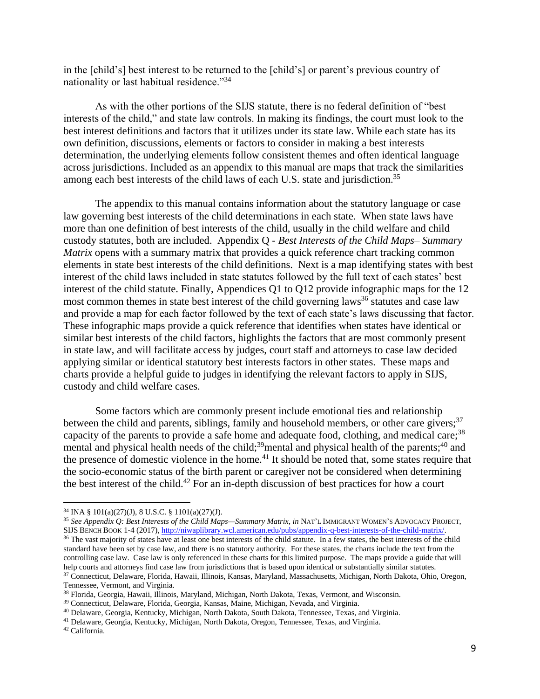in the [child's] best interest to be returned to the [child's] or parent's previous country of nationality or last habitual residence."<sup>34</sup>

As with the other portions of the SIJS statute, there is no federal definition of "best interests of the child," and state law controls. In making its findings, the court must look to the best interest definitions and factors that it utilizes under its state law. While each state has its own definition, discussions, elements or factors to consider in making a best interests determination, the underlying elements follow consistent themes and often identical language across jurisdictions. Included as an appendix to this manual are maps that track the similarities among each best interests of the child laws of each U.S. state and jurisdiction.<sup>35</sup>

The appendix to this manual contains information about the statutory language or case law governing best interests of the child determinations in each state. When state laws have more than one definition of best interests of the child, usually in the child welfare and child custody statutes, both are included. Appendix Q - *Best Interests of the Child Maps– Summary Matrix* opens with a summary matrix that provides a quick reference chart tracking common elements in state best interests of the child definitions. Next is a map identifying states with best interest of the child laws included in state statutes followed by the full text of each states' best interest of the child statute. Finally, Appendices Q1 to Q12 provide infographic maps for the 12 most common themes in state best interest of the child governing laws<sup>36</sup> statutes and case law and provide a map for each factor followed by the text of each state's laws discussing that factor. These infographic maps provide a quick reference that identifies when states have identical or similar best interests of the child factors, highlights the factors that are most commonly present in state law, and will facilitate access by judges, court staff and attorneys to case law decided applying similar or identical statutory best interests factors in other states. These maps and charts provide a helpful guide to judges in identifying the relevant factors to apply in SIJS, custody and child welfare cases.

Some factors which are commonly present include emotional ties and relationship between the child and parents, siblings, family and household members, or other care givers;  $37$ capacity of the parents to provide a safe home and adequate food, clothing, and medical care;<sup>38</sup> mental and physical health needs of the child;<sup>39</sup>mental and physical health of the parents;<sup>40</sup> and the presence of domestic violence in the home.<sup>41</sup> It should be noted that, some states require that the socio-economic status of the birth parent or caregiver not be considered when determining the best interest of the child.<sup>42</sup> For an in-depth discussion of best practices for how a court

 $\overline{a}$ 

<sup>34</sup> INA § 101(a)(27)(J), 8 U.S.C. § 1101(a)(27)(J).

<sup>35</sup> *See Appendix Q: Best Interests of the Child Maps—Summary Matrix*, *in* NAT'L IMMIGRANT WOMEN'S ADVOCACY PROJECT, SIJS BENCH BOOK 1-4 (2017)[, http://niwaplibrary.wcl.american.edu/pubs/appendix-q-best-interests-of-the-child-matrix/.](http://niwaplibrary.wcl.american.edu/pubs/appendix-q-best-interests-of-the-child-matrix/)

<sup>&</sup>lt;sup>36</sup> The vast majority of states have at least one best interests of the child statute. In a few states, the best interests of the child standard have been set by case law, and there is no statutory authority. For these states, the charts include the text from the controlling case law. Case law is only referenced in these charts for this limited purpose. The maps provide a guide that will help courts and attorneys find case law from jurisdictions that is based upon identical or substantially similar statutes. <sup>37</sup> Connecticut, Delaware, Florida, Hawaii, Illinois, Kansas, Maryland, Massachusetts, Michigan, North Dakota, Ohio, Oregon,

Tennessee, Vermont, and Virginia.

<sup>38</sup> Florida, Georgia, Hawaii, Illinois, Maryland, Michigan, North Dakota, Texas, Vermont, and Wisconsin.

<sup>39</sup> Connecticut, Delaware, Florida, Georgia, Kansas, Maine, Michigan, Nevada, and Virginia.

<sup>40</sup> Delaware, Georgia, Kentucky, Michigan, North Dakota, South Dakota, Tennessee, Texas, and Virginia.

<sup>41</sup> Delaware, Georgia, Kentucky, Michigan, North Dakota, Oregon, Tennessee, Texas, and Virginia.

<sup>42</sup> California.